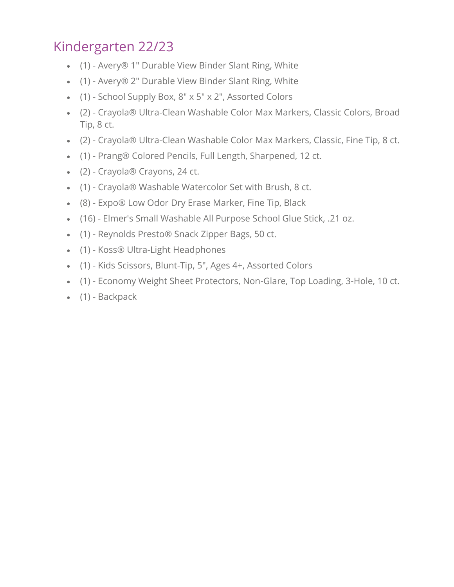## Kindergarten 22/23

- (1) Avery® 1" Durable View Binder Slant Ring, White
- (1) Avery® 2" Durable View Binder Slant Ring, White
- (1) School Supply Box, 8" x 5" x 2", Assorted Colors
- (2) Crayola® Ultra-Clean Washable Color Max Markers, Classic Colors, Broad Tip, 8 ct.
- (2) Crayola® Ultra-Clean Washable Color Max Markers, Classic, Fine Tip, 8 ct.
- (1) Prang® Colored Pencils, Full Length, Sharpened, 12 ct.
- (2) Crayola® Crayons, 24 ct.
- (1) Crayola® Washable Watercolor Set with Brush, 8 ct.
- (8) Expo® Low Odor Dry Erase Marker, Fine Tip, Black
- (16) Elmer's Small Washable All Purpose School Glue Stick, .21 oz.
- (1) Reynolds Presto® Snack Zipper Bags, 50 ct.
- (1) Koss® Ultra-Light Headphones
- (1) Kids Scissors, Blunt-Tip, 5", Ages 4+, Assorted Colors
- (1) Economy Weight Sheet Protectors, Non-Glare, Top Loading, 3-Hole, 10 ct.
- (1) Backpack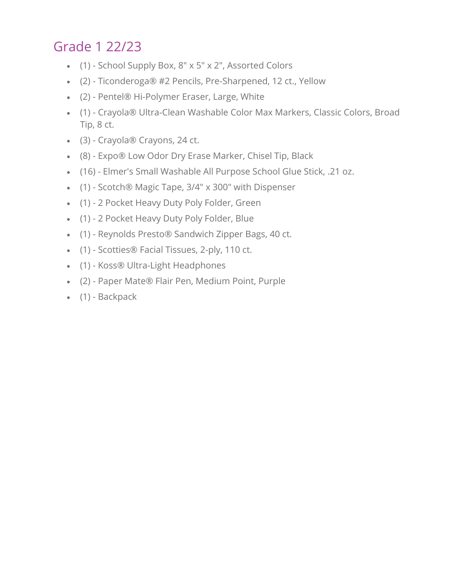# Grade 1 22/23

- (1) School Supply Box, 8" x 5" x 2", Assorted Colors
- (2) Ticonderoga® #2 Pencils, Pre-Sharpened, 12 ct., Yellow
- (2) Pentel® Hi-Polymer Eraser, Large, White
- (1) Crayola® Ultra-Clean Washable Color Max Markers, Classic Colors, Broad Tip, 8 ct.
- (3) Crayola® Crayons, 24 ct.
- (8) Expo® Low Odor Dry Erase Marker, Chisel Tip, Black
- (16) Elmer's Small Washable All Purpose School Glue Stick, .21 oz.
- (1) Scotch® Magic Tape, 3/4" x 300" with Dispenser
- (1) 2 Pocket Heavy Duty Poly Folder, Green
- (1) 2 Pocket Heavy Duty Poly Folder, Blue
- (1) Reynolds Presto® Sandwich Zipper Bags, 40 ct.
- (1) Scotties® Facial Tissues, 2-ply, 110 ct.
- (1) Koss® Ultra-Light Headphones
- (2) Paper Mate® Flair Pen, Medium Point, Purple
- (1) Backpack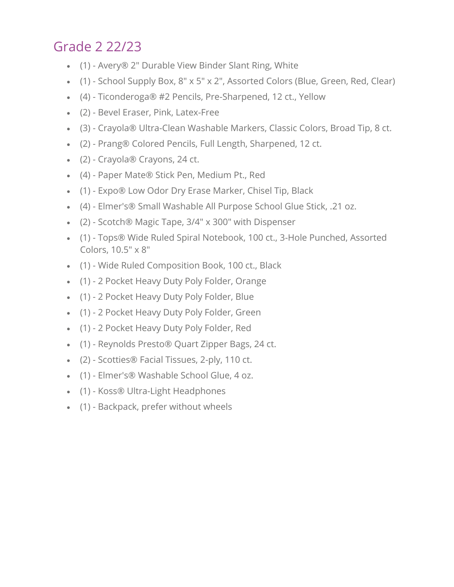## Grade 2 22/23

- (1) Avery® 2" Durable View Binder Slant Ring, White
- (1) School Supply Box, 8" x 5" x 2", Assorted Colors (Blue, Green, Red, Clear)
- (4) Ticonderoga® #2 Pencils, Pre-Sharpened, 12 ct., Yellow
- (2) Bevel Eraser, Pink, Latex-Free
- (3) Crayola® Ultra-Clean Washable Markers, Classic Colors, Broad Tip, 8 ct.
- (2) Prang® Colored Pencils, Full Length, Sharpened, 12 ct.
- (2) Crayola® Crayons, 24 ct.
- (4) Paper Mate® Stick Pen, Medium Pt., Red
- (1) Expo® Low Odor Dry Erase Marker, Chisel Tip, Black
- (4) Elmer's® Small Washable All Purpose School Glue Stick, .21 oz.
- (2) Scotch® Magic Tape, 3/4" x 300" with Dispenser
- (1) Tops® Wide Ruled Spiral Notebook, 100 ct., 3-Hole Punched, Assorted Colors, 10.5" x 8"
- (1) Wide Ruled Composition Book, 100 ct., Black
- (1) 2 Pocket Heavy Duty Poly Folder, Orange
- (1) 2 Pocket Heavy Duty Poly Folder, Blue
- (1) 2 Pocket Heavy Duty Poly Folder, Green
- (1) 2 Pocket Heavy Duty Poly Folder, Red
- (1) Reynolds Presto® Quart Zipper Bags, 24 ct.
- (2) Scotties® Facial Tissues, 2-ply, 110 ct.
- (1) Elmer's® Washable School Glue, 4 oz.
- (1) Koss® Ultra-Light Headphones
- (1) Backpack, prefer without wheels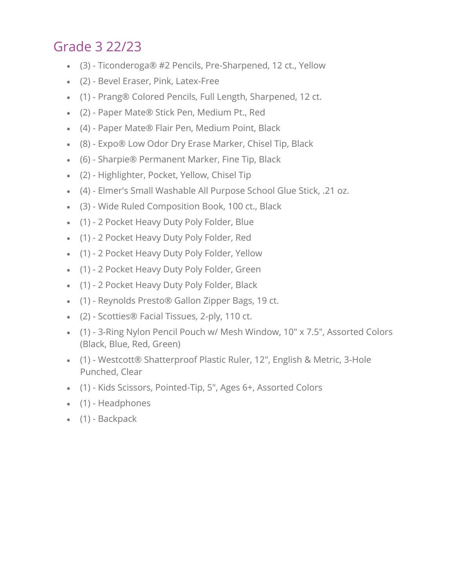### Grade 3 22/23

- (3) Ticonderoga® #2 Pencils, Pre-Sharpened, 12 ct., Yellow
- (2) Bevel Eraser, Pink, Latex-Free
- (1) Prang® Colored Pencils, Full Length, Sharpened, 12 ct.
- (2) Paper Mate® Stick Pen, Medium Pt., Red
- (4) Paper Mate® Flair Pen, Medium Point, Black
- (8) Expo® Low Odor Dry Erase Marker, Chisel Tip, Black
- (6) Sharpie® Permanent Marker, Fine Tip, Black
- (2) Highlighter, Pocket, Yellow, Chisel Tip
- (4) Elmer's Small Washable All Purpose School Glue Stick, .21 oz.
- (3) Wide Ruled Composition Book, 100 ct., Black
- (1) 2 Pocket Heavy Duty Poly Folder, Blue
- (1) 2 Pocket Heavy Duty Poly Folder, Red
- (1) 2 Pocket Heavy Duty Poly Folder, Yellow
- (1) 2 Pocket Heavy Duty Poly Folder, Green
- (1) 2 Pocket Heavy Duty Poly Folder, Black
- (1) Reynolds Presto® Gallon Zipper Bags, 19 ct.
- (2) Scotties® Facial Tissues, 2-ply, 110 ct.
- (1) 3-Ring Nylon Pencil Pouch w/ Mesh Window, 10" x 7.5", Assorted Colors (Black, Blue, Red, Green)
- (1) Westcott® Shatterproof Plastic Ruler, 12", English & Metric, 3-Hole Punched, Clear
- (1) Kids Scissors, Pointed-Tip, 5", Ages 6+, Assorted Colors
- (1) Headphones
- (1) Backpack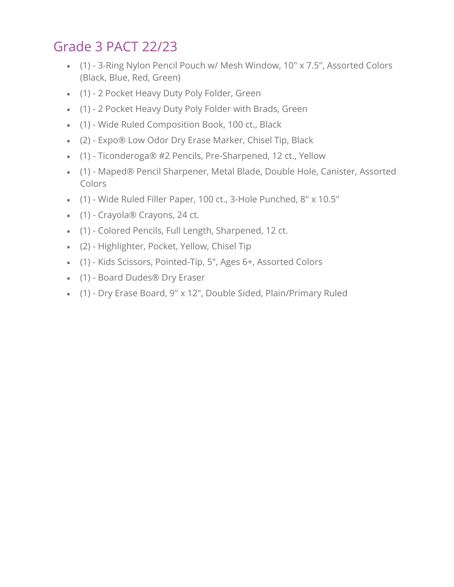# Grade 3 PACT 22/23

- (1) 3-Ring Nylon Pencil Pouch w/ Mesh Window, 10" x 7.5", Assorted Colors (Black, Blue, Red, Green)
- (1) 2 Pocket Heavy Duty Poly Folder, Green
- (1) 2 Pocket Heavy Duty Poly Folder with Brads, Green
- (1) Wide Ruled Composition Book, 100 ct., Black
- (2) Expo® Low Odor Dry Erase Marker, Chisel Tip, Black
- (1) Ticonderoga® #2 Pencils, Pre-Sharpened, 12 ct., Yellow
- (1) Maped® Pencil Sharpener, Metal Blade, Double Hole, Canister, Assorted Colors
- (1) Wide Ruled Filler Paper, 100 ct., 3-Hole Punched, 8" x 10.5"
- (1) Crayola® Crayons, 24 ct.
- (1) Colored Pencils, Full Length, Sharpened, 12 ct.
- (2) Highlighter, Pocket, Yellow, Chisel Tip
- (1) Kids Scissors, Pointed-Tip, 5", Ages 6+, Assorted Colors
- (1) Board Dudes® Dry Eraser
- (1) Dry Erase Board, 9" x 12", Double Sided, Plain/Primary Ruled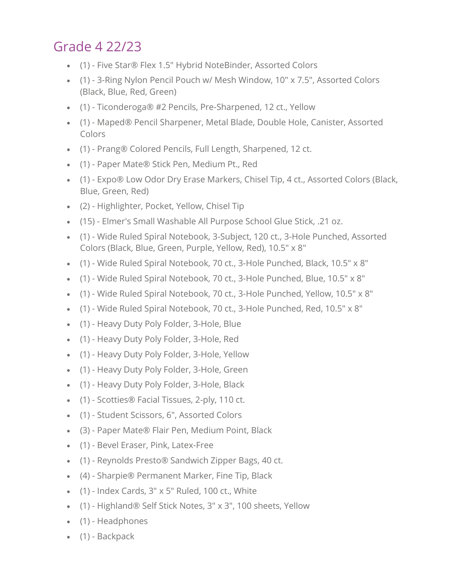### Grade 4 22/23

- (1) Five Star® Flex 1.5" Hybrid NoteBinder, Assorted Colors
- (1) 3-Ring Nylon Pencil Pouch w/ Mesh Window, 10" x 7.5", Assorted Colors (Black, Blue, Red, Green)
- (1) Ticonderoga® #2 Pencils, Pre-Sharpened, 12 ct., Yellow
- (1) Maped® Pencil Sharpener, Metal Blade, Double Hole, Canister, Assorted Colors
- (1) Prang® Colored Pencils, Full Length, Sharpened, 12 ct.
- (1) Paper Mate® Stick Pen, Medium Pt., Red
- (1) Expo® Low Odor Dry Erase Markers, Chisel Tip, 4 ct., Assorted Colors (Black, Blue, Green, Red)
- (2) Highlighter, Pocket, Yellow, Chisel Tip
- (15) Elmer's Small Washable All Purpose School Glue Stick, .21 oz.
- (1) Wide Ruled Spiral Notebook, 3-Subject, 120 ct., 3-Hole Punched, Assorted Colors (Black, Blue, Green, Purple, Yellow, Red), 10.5" x 8"
- (1) Wide Ruled Spiral Notebook, 70 ct., 3-Hole Punched, Black, 10.5" x 8"
- (1) Wide Ruled Spiral Notebook, 70 ct., 3-Hole Punched, Blue, 10.5" x 8"
- (1) Wide Ruled Spiral Notebook, 70 ct., 3-Hole Punched, Yellow, 10.5" x 8"
- (1) Wide Ruled Spiral Notebook, 70 ct., 3-Hole Punched, Red, 10.5" x 8"
- (1) Heavy Duty Poly Folder, 3-Hole, Blue
- (1) Heavy Duty Poly Folder, 3-Hole, Red
- (1) Heavy Duty Poly Folder, 3-Hole, Yellow
- (1) Heavy Duty Poly Folder, 3-Hole, Green
- (1) Heavy Duty Poly Folder, 3-Hole, Black
- (1) Scotties® Facial Tissues, 2-ply, 110 ct.
- (1) Student Scissors, 6", Assorted Colors
- (3) Paper Mate® Flair Pen, Medium Point, Black
- (1) Bevel Eraser, Pink, Latex-Free
- (1) Reynolds Presto® Sandwich Zipper Bags, 40 ct.
- (4) Sharpie® Permanent Marker, Fine Tip, Black
- $\bullet$  (1) Index Cards, 3" x 5" Ruled, 100 ct., White
- (1) Highland® Self Stick Notes, 3" x 3", 100 sheets, Yellow
- (1) Headphones
- (1) Backpack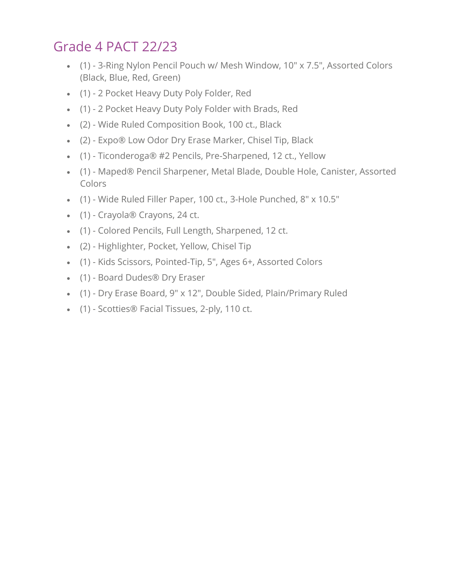# Grade 4 PACT 22/23

- (1) 3-Ring Nylon Pencil Pouch w/ Mesh Window, 10" x 7.5", Assorted Colors (Black, Blue, Red, Green)
- (1) 2 Pocket Heavy Duty Poly Folder, Red
- (1) 2 Pocket Heavy Duty Poly Folder with Brads, Red
- (2) Wide Ruled Composition Book, 100 ct., Black
- (2) Expo® Low Odor Dry Erase Marker, Chisel Tip, Black
- (1) Ticonderoga® #2 Pencils, Pre-Sharpened, 12 ct., Yellow
- (1) Maped® Pencil Sharpener, Metal Blade, Double Hole, Canister, Assorted Colors
- (1) Wide Ruled Filler Paper, 100 ct., 3-Hole Punched, 8" x 10.5"
- (1) Crayola® Crayons, 24 ct.
- (1) Colored Pencils, Full Length, Sharpened, 12 ct.
- (2) Highlighter, Pocket, Yellow, Chisel Tip
- (1) Kids Scissors, Pointed-Tip, 5", Ages 6+, Assorted Colors
- (1) Board Dudes® Dry Eraser
- (1) Dry Erase Board, 9" x 12", Double Sided, Plain/Primary Ruled
- (1) Scotties® Facial Tissues, 2-ply, 110 ct.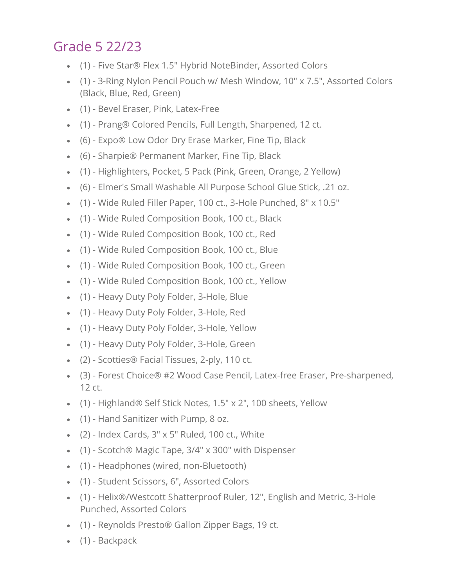## Grade 5 22/23

- (1) Five Star® Flex 1.5" Hybrid NoteBinder, Assorted Colors
- (1) 3-Ring Nylon Pencil Pouch w/ Mesh Window, 10" x 7.5", Assorted Colors (Black, Blue, Red, Green)
- (1) Bevel Eraser, Pink, Latex-Free
- (1) Prang® Colored Pencils, Full Length, Sharpened, 12 ct.
- (6) Expo® Low Odor Dry Erase Marker, Fine Tip, Black
- (6) Sharpie® Permanent Marker, Fine Tip, Black
- (1) Highlighters, Pocket, 5 Pack (Pink, Green, Orange, 2 Yellow)
- (6) Elmer's Small Washable All Purpose School Glue Stick, .21 oz.
- (1) Wide Ruled Filler Paper, 100 ct., 3-Hole Punched, 8" x 10.5"
- (1) Wide Ruled Composition Book, 100 ct., Black
- (1) Wide Ruled Composition Book, 100 ct., Red
- (1) Wide Ruled Composition Book, 100 ct., Blue
- (1) Wide Ruled Composition Book, 100 ct., Green
- (1) Wide Ruled Composition Book, 100 ct., Yellow
- (1) Heavy Duty Poly Folder, 3-Hole, Blue
- (1) Heavy Duty Poly Folder, 3-Hole, Red
- (1) Heavy Duty Poly Folder, 3-Hole, Yellow
- (1) Heavy Duty Poly Folder, 3-Hole, Green
- (2) Scotties® Facial Tissues, 2-ply, 110 ct.
- (3) Forest Choice® #2 Wood Case Pencil, Latex-free Eraser, Pre-sharpened, 12 ct.
- (1) Highland® Self Stick Notes, 1.5" x 2", 100 sheets, Yellow
- (1) Hand Sanitizer with Pump, 8 oz.
- $\bullet$  (2) Index Cards, 3" x 5" Ruled, 100 ct., White
- (1) Scotch® Magic Tape, 3/4" x 300" with Dispenser
- (1) Headphones (wired, non-Bluetooth)
- (1) Student Scissors, 6", Assorted Colors
- (1) Helix®/Westcott Shatterproof Ruler, 12", English and Metric, 3-Hole Punched, Assorted Colors
- (1) Reynolds Presto® Gallon Zipper Bags, 19 ct.
- (1) Backpack